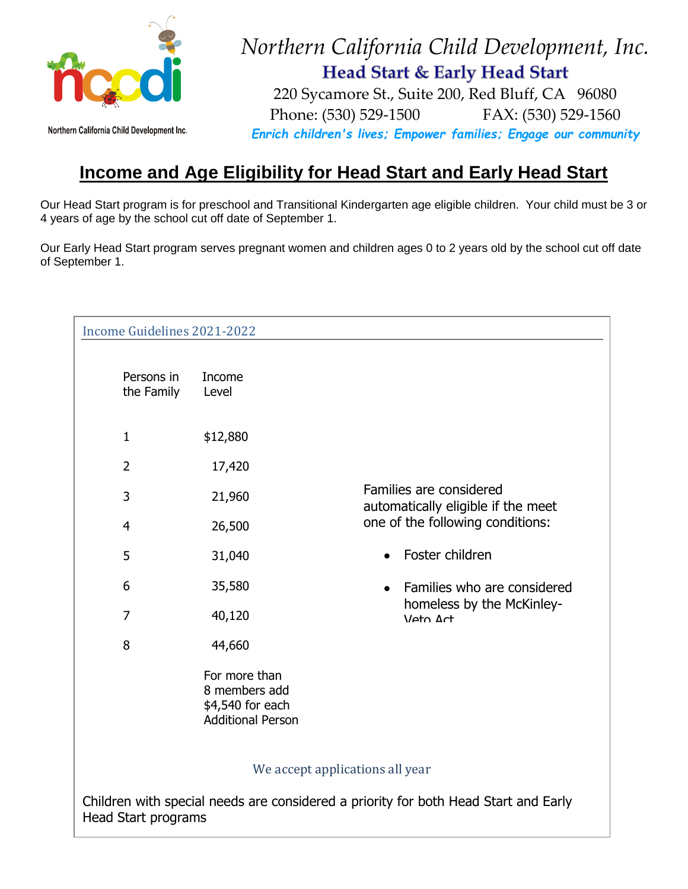

## *Northern California Child Development, Inc.* Head Start & Early Head Start

Northern California Child Development Inc.

 220 Sycamore St., Suite 200, Red Bluff, CA 96080 Phone: (530) 529-1500 FAX: (530) 529-1560 *Enrich children's lives; Empower families; Engage our community*

## **Income and Age Eligibility for Head Start and Early Head Start**

Our Head Start program is for preschool and Transitional Kindergarten age eligible children. Your child must be 3 or 4 years of age by the school cut off date of September 1.

Our Early Head Start program serves pregnant women and children ages 0 to 2 years old by the school cut off date of September 1.

| Income Guidelines 2021-2022                                                                                       |                                                                                |                                                               |
|-------------------------------------------------------------------------------------------------------------------|--------------------------------------------------------------------------------|---------------------------------------------------------------|
| Persons in<br>the Family                                                                                          | Income<br>Level                                                                |                                                               |
| $\mathbf{1}$                                                                                                      | \$12,880                                                                       |                                                               |
| $\overline{2}$                                                                                                    | 17,420                                                                         |                                                               |
| 3                                                                                                                 | 21,960                                                                         | Families are considered<br>automatically eligible if the meet |
| $\overline{4}$                                                                                                    | 26,500                                                                         | one of the following conditions:                              |
| 5                                                                                                                 | 31,040                                                                         | Foster children                                               |
| 6                                                                                                                 | 35,580                                                                         | Families who are considered                                   |
| 7                                                                                                                 | 40,120                                                                         | homeless by the McKinley-<br>Veto Act                         |
| 8                                                                                                                 | 44,660                                                                         |                                                               |
|                                                                                                                   | For more than<br>8 members add<br>\$4,540 for each<br><b>Additional Person</b> |                                                               |
| We accept applications all year                                                                                   |                                                                                |                                                               |
| Children with special needs are considered a priority for both Head Start and Early<br><b>Head Start programs</b> |                                                                                |                                                               |